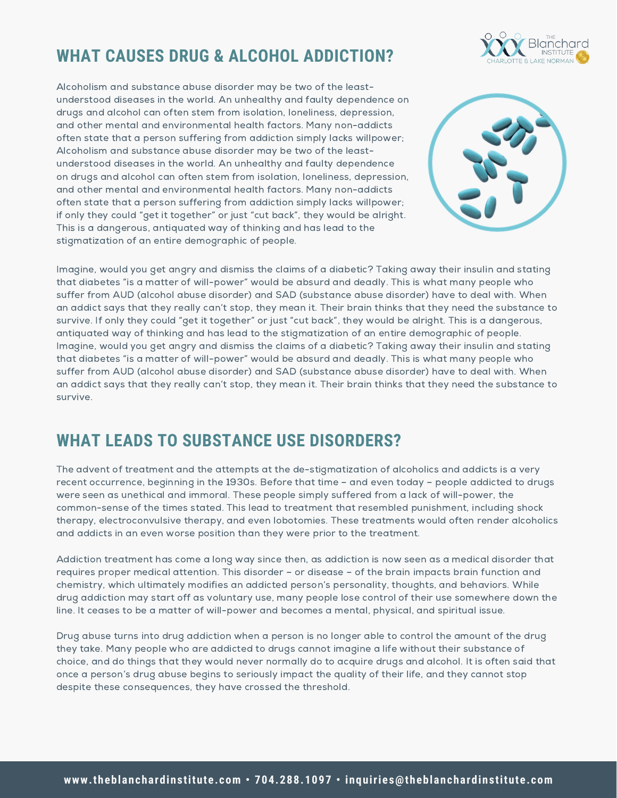# **WHAT CAUSES DRUG & ALCOHOL ADDICTION?**



Alcoholism and substance abuse disorder may be two of the leastunderstood diseases in the world. An unhealthy and faulty dependence on drugs and alcohol can often stem from isolation, loneliness, depression, and other mental and environmental health factors. Many non-addicts often state that a person suffering from addiction simply lacks willpower; Alcoholism and substance abuse disorder may be two of the leastunderstood diseases in the world. An unhealthy and faulty dependence on drugs and alcohol can often stem from isolation, loneliness, depression, and other mental and environmental health factors. Many non-addicts often state that a person suffering from addiction simply lacks willpower; if only they could "get it together" or just "cut back", they would be alright. This is a dangerous, antiquated way of thinking and has lead to the stigmatization of an entire demographic of people.



Imagine, would you get angry and dismiss the claims of a diabetic? Taking away their insulin and stating that diabetes "is a matter of will-power" would be absurd and deadly. This is what many people who suffer from AUD (alcohol abuse disorder) and SAD (substance abuse disorder) have to deal with. When an addict says that they really can't stop, they mean it. Their brain thinks that they need the substance to survive. If only they could "get it together" or just "cut back", they would be alright. This is a dangerous, antiquated way of thinking and has lead to the stigmatization of an entire demographic of people. Imagine, would you get angry and dismiss the claims of a diabetic? Taking away their insulin and stating that diabetes "is a matter of will-power" would be absurd and deadly. This is what many people who suffer from AUD (alcohol abuse disorder) and SAD (substance abuse disorder) have to deal with. When an addict says that they really can't stop, they mean it. Their brain thinks that they need the substance to survive.

### **WHAT LEADS TO SUBSTANCE USE DISORDERS?**

The advent of treatment and the attempts at the de-stigmatization of alcoholics and addicts is a very recent occurrence, beginning in the 1930s. Before that time – and even today – people addicted to drugs were seen as unethical and immoral. These people simply suffered from a lack of will-power, the common-sense of the times stated. This lead to treatment that resembled punishment, including shock therapy, electroconvulsive therapy, and even lobotomies. These treatments would often render alcoholics and addicts in an even worse position than they were prior to the treatment.

Addiction [treatment](https://theblanchardinstitute.com/) has come a long way since then, as addiction is now seen as a medical disorder that requires proper medical attention. This disorder – or disease – of the brain impacts brain function and chemistry, which ultimately modifies an addicted person's personality, thoughts, and behaviors. While drug addiction may start off as voluntary use, many people lose control of their use somewhere down the line. It ceases to be a matter of will-power and becomes a mental, physical, and spiritual issue.

Drug abuse turns into drug addiction when a person is no longer able to control the amount of the drug they take. Many people who are addicted to drugs cannot imagine a life without their substance of choice, and do things that they would never normally do to acquire drugs and alcohol. It is often said that once a person's drug abuse begins to seriously impact the quality of their life, and they cannot stop despite these consequences, they have crossed the threshold.